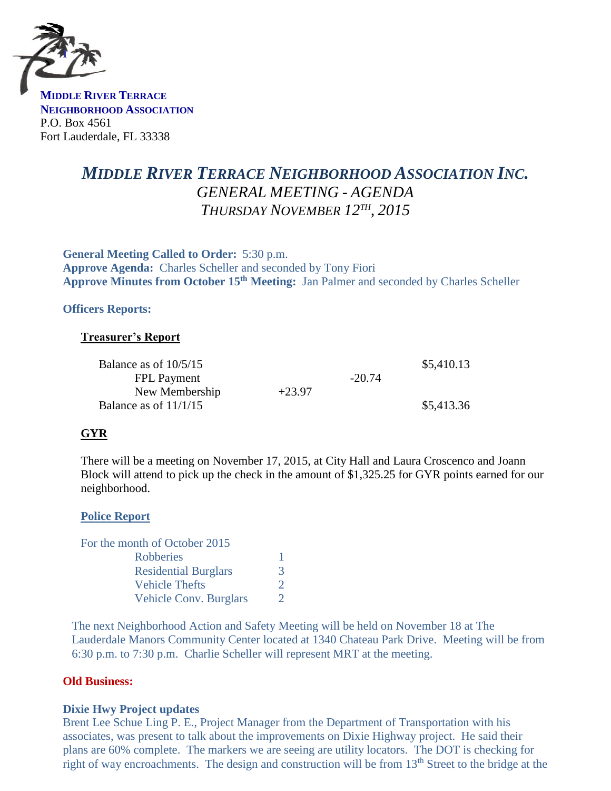

**MIDDLE RIVER TERRACE NEIGHBORHOOD ASSOCIATION** P.O. Box 4561 Fort Lauderdale, FL 33338

# *MIDDLE RIVER TERRACE NEIGHBORHOOD ASSOCIATION INC. GENERAL MEETING - AGENDA THURSDAY NOVEMBER 12TH , 2015*

**General Meeting Called to Order:** 5:30 p.m. **Approve Agenda:** Charles Scheller and seconded by Tony Fiori **Approve Minutes from October 15th Meeting:** Jan Palmer and seconded by Charles Scheller

## **Officers Reports:**

## **Treasurer's Report**

| Balance as of $10/5/15$ |          |          | \$5,410.13 |
|-------------------------|----------|----------|------------|
| <b>FPL Payment</b>      |          | $-20.74$ |            |
| New Membership          | $+23.97$ |          |            |
| Balance as of $11/1/15$ |          |          | \$5,413.36 |

## **GYR**

There will be a meeting on November 17, 2015, at City Hall and Laura Croscenco and Joann Block will attend to pick up the check in the amount of \$1,325.25 for GYR points earned for our neighborhood.

#### **Police Report**

| For the month of October 2015 |   |
|-------------------------------|---|
| <b>Robberies</b>              |   |
| <b>Residential Burglars</b>   | 3 |
| <b>Vehicle Thefts</b>         | 2 |
| <b>Vehicle Conv. Burglars</b> | 7 |

The next Neighborhood Action and Safety Meeting will be held on November 18 at The Lauderdale Manors Community Center located at 1340 Chateau Park Drive. Meeting will be from 6:30 p.m. to 7:30 p.m. Charlie Scheller will represent MRT at the meeting.

## **Old Business:**

#### **Dixie Hwy Project updates**

Brent Lee Schue Ling P. E., Project Manager from the Department of Transportation with his associates, was present to talk about the improvements on Dixie Highway project. He said their plans are 60% complete. The markers we are seeing are utility locators. The DOT is checking for right of way encroachments. The design and construction will be from 13<sup>th</sup> Street to the bridge at the